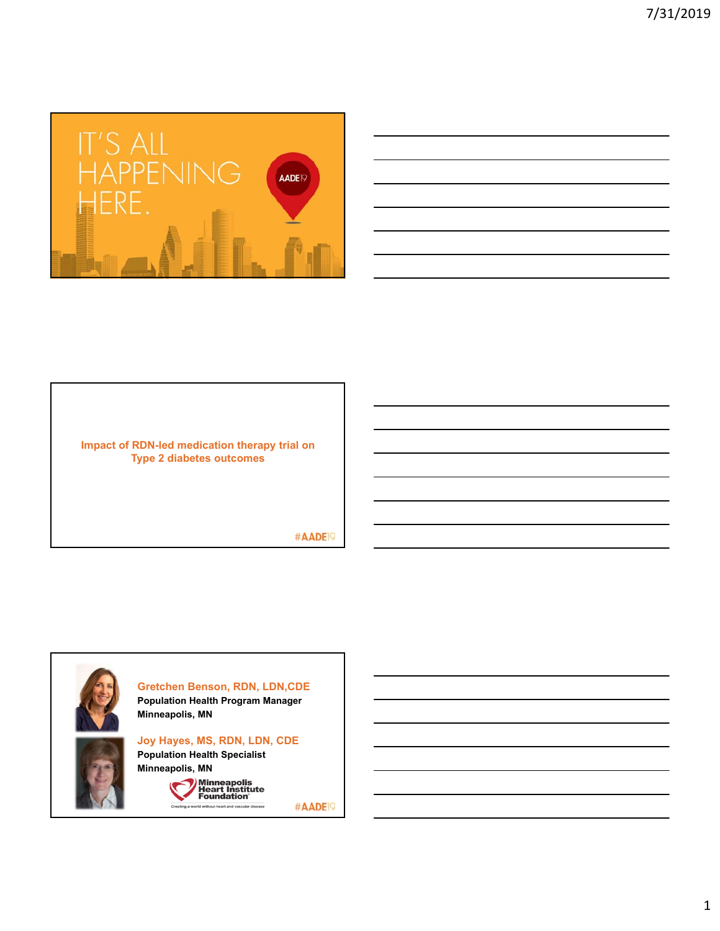

| ,我们也不会有什么?""我们的人,我们也不会有什么?""我们的人,我们也不会有什么?""我们的人,我们也不会有什么?""我们的人,我们也不会有什么?""我们的人                                     |  |  |
|----------------------------------------------------------------------------------------------------------------------|--|--|
|                                                                                                                      |  |  |
| <u> 1989 - Andrea Santa Andrea Andrea Andrea Andrea Andrea Andrea Andrea Andrea Andrea Andrea Andrea Andrea Andr</u> |  |  |
| ,我们也不会有什么。""我们的人,我们也不会有什么?""我们的人,我们也不会有什么?""我们的人,我们也不会有什么?""我们的人,我们也不会有什么?""我们的人                                     |  |  |
| <u> 1989 - Andrea Santa Andrea Andrea Andrea Andrea Andrea Andrea Andrea Andrea Andrea Andrea Andrea Andrea Andr</u> |  |  |
|                                                                                                                      |  |  |

**Impact of RDN-led medication therapy trial on Type 2 diabetes outcomes** 

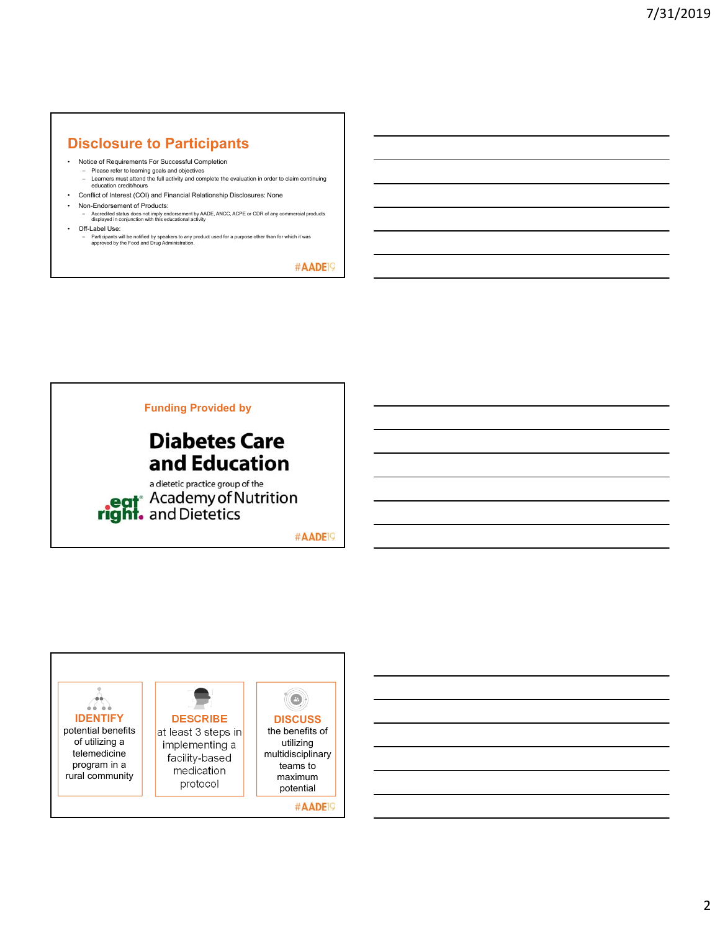## **Disclosure to Participants**

- Notice of Requirements For Successful Completion
	- Please refer to learning goals and objectives Learners must attend the full activity and complete the evaluation in order to claim continuing education credit/hours
- Conflict of Interest (COI) and Financial Relationship Disclosures: None
- Non-Endorsement of Products:
	- Accredited status does not imply endorsement by AADE, ANCC, ACPE or CDR of any commercial products displayed in conjunction with this educational activity
- Off-Label Use:
	- Participants will be notified by speakers to any product used for a purpose other than for which it was approved by the Food and Drug Administration.

#AADE<sup>19</sup>



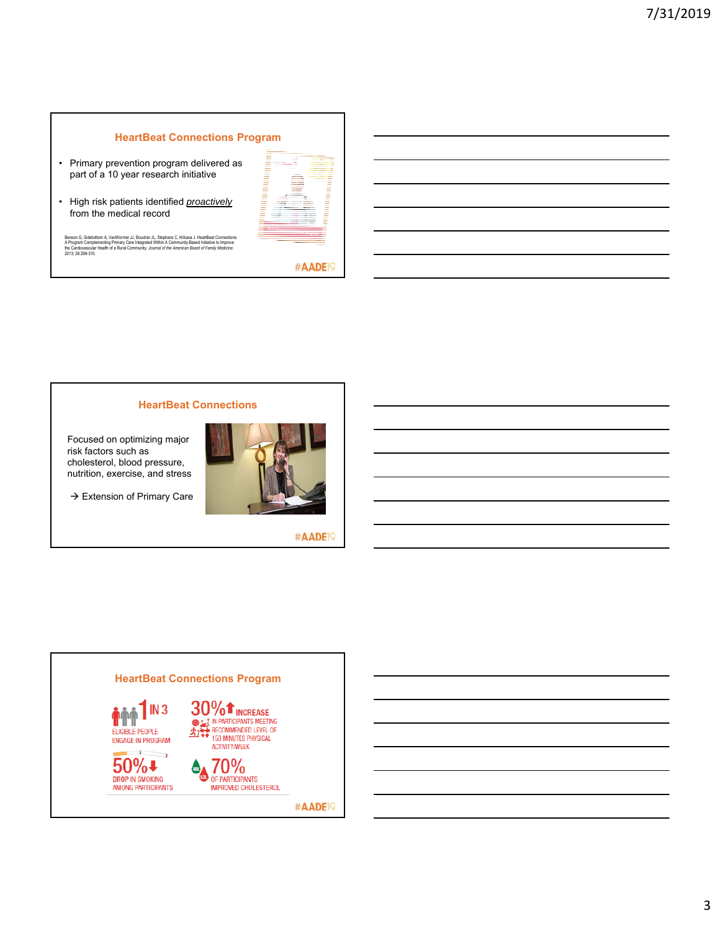### **HeartBeat Connections Program**

- Primary prevention program delivered as part of a 10 year research initiative
- High risk patients identified *proactively* from the medical record

| $\frac{1}{2}$                                                                                                                                                                                                                                                                                                                                                                                                                                                              | $\sim$<br><b>Service</b>                                                                                                    | ___                                                                                            |
|----------------------------------------------------------------------------------------------------------------------------------------------------------------------------------------------------------------------------------------------------------------------------------------------------------------------------------------------------------------------------------------------------------------------------------------------------------------------------|-----------------------------------------------------------------------------------------------------------------------------|------------------------------------------------------------------------------------------------|
| $\overline{\phantom{a}}$                                                                                                                                                                                                                                                                                                                                                                                                                                                   | and the property of the control of                                                                                          | ____                                                                                           |
| ۰<br>÷                                                                                                                                                                                                                                                                                                                                                                                                                                                                     | the contract of the property and the contract of                                                                            |                                                                                                |
| $\sim$<br>÷                                                                                                                                                                                                                                                                                                                                                                                                                                                                | the country of the country of the country                                                                                   | ______                                                                                         |
| $\overline{\phantom{a}}$                                                                                                                                                                                                                                                                                                                                                                                                                                                   | the contract of the contract of                                                                                             | ________                                                                                       |
|                                                                                                                                                                                                                                                                                                                                                                                                                                                                            |                                                                                                                             | ۰                                                                                              |
| $\overline{\phantom{a}}$                                                                                                                                                                                                                                                                                                                                                                                                                                                   |                                                                                                                             | ______<br>÷                                                                                    |
| $\overline{\phantom{a}}$                                                                                                                                                                                                                                                                                                                                                                                                                                                   | $\sim$                                                                                                                      | _______                                                                                        |
| $\overline{\phantom{a}}$                                                                                                                                                                                                                                                                                                                                                                                                                                                   | $\sim$                                                                                                                      | ________                                                                                       |
| -                                                                                                                                                                                                                                                                                                                                                                                                                                                                          | ---                                                                                                                         | _____                                                                                          |
| $\overline{\phantom{a}}$                                                                                                                                                                                                                                                                                                                                                                                                                                                   | ___                                                                                                                         | --                                                                                             |
| $\overline{\phantom{a}}$                                                                                                                                                                                                                                                                                                                                                                                                                                                   | <b>STATE OF ALL AND REAL PROPERTY</b>                                                                                       | $\sim$                                                                                         |
| ۰<br>÷                                                                                                                                                                                                                                                                                                                                                                                                                                                                     | ___                                                                                                                         | ۰                                                                                              |
| ۰<br>۰                                                                                                                                                                                                                                                                                                                                                                                                                                                                     | ___                                                                                                                         | -<br>۰                                                                                         |
| $\frac{1}{2}$                                                                                                                                                                                                                                                                                                                                                                                                                                                              | <b>Contract Contract Contract</b>                                                                                           | <b>STATE</b>                                                                                   |
| $\overline{\phantom{a}}$<br>$\overline{\phantom{a}}$                                                                                                                                                                                                                                                                                                                                                                                                                       | $\overline{\phantom{a}}$                                                                                                    | $\sim$<br>$\overline{\phantom{a}}$                                                             |
|                                                                                                                                                                                                                                                                                                                                                                                                                                                                            | ____                                                                                                                        |                                                                                                |
| $\overline{\phantom{a}}$                                                                                                                                                                                                                                                                                                                                                                                                                                                   | the contract of the contract of the                                                                                         | $\sim$                                                                                         |
| $\overline{\phantom{a}}$                                                                                                                                                                                                                                                                                                                                                                                                                                                   | the property of the property of the property of                                                                             | $\overline{\phantom{a}}$                                                                       |
| -                                                                                                                                                                                                                                                                                                                                                                                                                                                                          | continued to the control of the control of                                                                                  | $\overline{\phantom{a}}$                                                                       |
| $\frac{1}{2} \left( \frac{1}{2} \right) \left( \frac{1}{2} \right) \left( \frac{1}{2} \right) \left( \frac{1}{2} \right) \left( \frac{1}{2} \right) \left( \frac{1}{2} \right) \left( \frac{1}{2} \right) \left( \frac{1}{2} \right) \left( \frac{1}{2} \right) \left( \frac{1}{2} \right) \left( \frac{1}{2} \right) \left( \frac{1}{2} \right) \left( \frac{1}{2} \right) \left( \frac{1}{2} \right) \left( \frac{1}{2} \right) \left( \frac{1}{2} \right) \left( \frac$ | and the property of the property and the property                                                                           | $\frac{1}{2}$                                                                                  |
| -                                                                                                                                                                                                                                                                                                                                                                                                                                                                          | company of the company of the company                                                                                       | -                                                                                              |
| ٠                                                                                                                                                                                                                                                                                                                                                                                                                                                                          | The company of the company of the company of the company of the company of the company of                                   | ٠<br>۰                                                                                         |
| ۰<br>$\overline{\phantom{a}}$                                                                                                                                                                                                                                                                                                                                                                                                                                              | ______                                                                                                                      | ٠<br>۰<br>$\overline{\phantom{a}}$                                                             |
| -                                                                                                                                                                                                                                                                                                                                                                                                                                                                          |                                                                                                                             |                                                                                                |
| -                                                                                                                                                                                                                                                                                                                                                                                                                                                                          | the country of the country of the property and the country of the country of<br>process and the contract of the contract of | $\sim$<br>$\overline{\phantom{a}}$                                                             |
| _                                                                                                                                                                                                                                                                                                                                                                                                                                                                          |                                                                                                                             | $\overline{\phantom{a}}$                                                                       |
| -                                                                                                                                                                                                                                                                                                                                                                                                                                                                          | the property of the control of the control of the control of                                                                | $\sim$                                                                                         |
| -                                                                                                                                                                                                                                                                                                                                                                                                                                                                          | contract the contract of the contract of the contract of                                                                    | $\overline{\phantom{a}}$                                                                       |
|                                                                                                                                                                                                                                                                                                                                                                                                                                                                            |                                                                                                                             | $\overline{\phantom{a}}$                                                                       |
| - -                                                                                                                                                                                                                                                                                                                                                                                                                                                                        | _______                                                                                                                     | $\frac{1}{2} \left( \frac{1}{2} \right) \left( \frac{1}{2} \right) \left( \frac{1}{2} \right)$ |
|                                                                                                                                                                                                                                                                                                                                                                                                                                                                            |                                                                                                                             | ۰                                                                                              |
|                                                                                                                                                                                                                                                                                                                                                                                                                                                                            | __________                                                                                                                  |                                                                                                |
|                                                                                                                                                                                                                                                                                                                                                                                                                                                                            |                                                                                                                             |                                                                                                |
|                                                                                                                                                                                                                                                                                                                                                                                                                                                                            |                                                                                                                             |                                                                                                |
|                                                                                                                                                                                                                                                                                                                                                                                                                                                                            |                                                                                                                             |                                                                                                |
|                                                                                                                                                                                                                                                                                                                                                                                                                                                                            |                                                                                                                             |                                                                                                |
|                                                                                                                                                                                                                                                                                                                                                                                                                                                                            |                                                                                                                             |                                                                                                |
|                                                                                                                                                                                                                                                                                                                                                                                                                                                                            |                                                                                                                             |                                                                                                |

Benson G, Sidebottom A, VanWormer JJ, Boucher JL, Stephens C, Krikava J. HeartBeat Connections:<br>A Program Complementing Primary Care Integrated Within A Community-Based Initiative to Improve<br>the Cardiovascular Health of a



### **HeartBeat Connections**

Focused on optimizing major risk factors such as cholesterol, blood pressure, nutrition, exercise, and stress

 $\rightarrow$  Extension of Primary Care



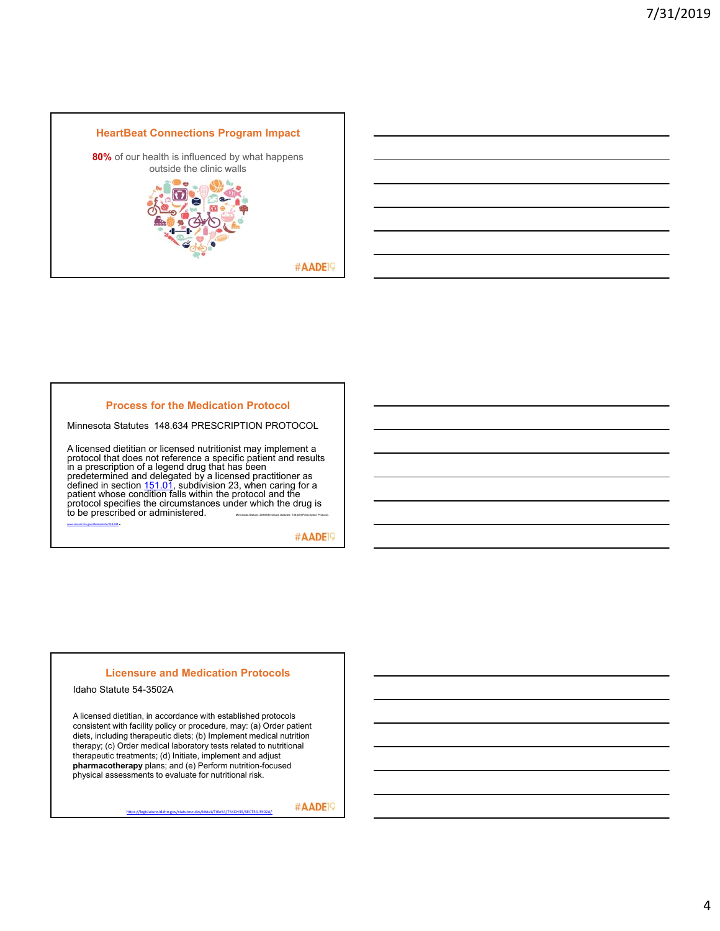

# **Process for the Medication Protocol**

Minnesota Statutes 148.634 PRESCRIPTION PROTOCOL

A licensed dietitian or licensed nutritionist may implement a protocol that does not reference a specific patient and results in a prescription of a legend drug that has been<br>predetermined and delegated by a licensed practitioner as<br>defined in section 151.01, subdivision 23, when caring for a<br>patient whose condition falls within the protocol and

#AADE<sup>19</sup>

### **Licensure and Medication Protocols**

Idaho Statute 54-3502A

A licensed dietitian, in accordance with established protocols consistent with facility policy or procedure, may: (a) Order patient diets, including therapeutic diets; (b) Implement medical nutrition therapy; (c) Order medical laboratory tests related to nutritional therapeutic treatments; (d) Initiate, implement and adjust **pharmacotherapy** plans; and (e) Perform nutrition-focused physical assessments to evaluate for nutritional risk.

https://legislature.idaho.gov/statutesrules/idstat/Title54/T54CH35/SECT54‐3502A/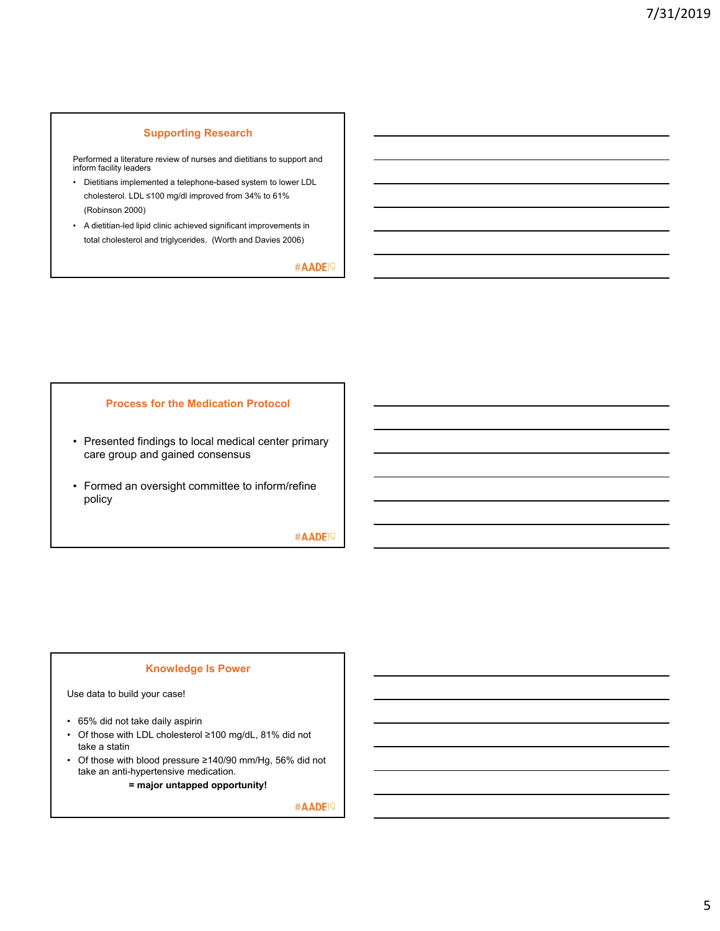### **Supporting Research**

Performed a literature review of nurses and dietitians to support and inform facility leaders

- Dietitians implemented a telephone-based system to lower LDL cholesterol. LDL ≤100 mg/dl improved from 34% to 61% (Robinson 2000)
- A dietitian-led lipid clinic achieved significant improvements in total cholesterol and triglycerides. (Worth and Davies 2006)

#AADE<sup>19</sup>

### **Process for the Medication Protocol**

- Presented findings to local medical center primary care group and gained consensus
- Formed an oversight committee to inform/refine policy

#AADE<sup>19</sup>

### **Knowledge Is Power**

Use data to build your case!

- 65% did not take daily aspirin
- Of those with LDL cholesterol ≥100 mg/dL, 81% did not take a statin
- Of those with blood pressure ≥140/90 mm/Hg, 56% did not take an anti-hypertensive medication.

**= major untapped opportunity!**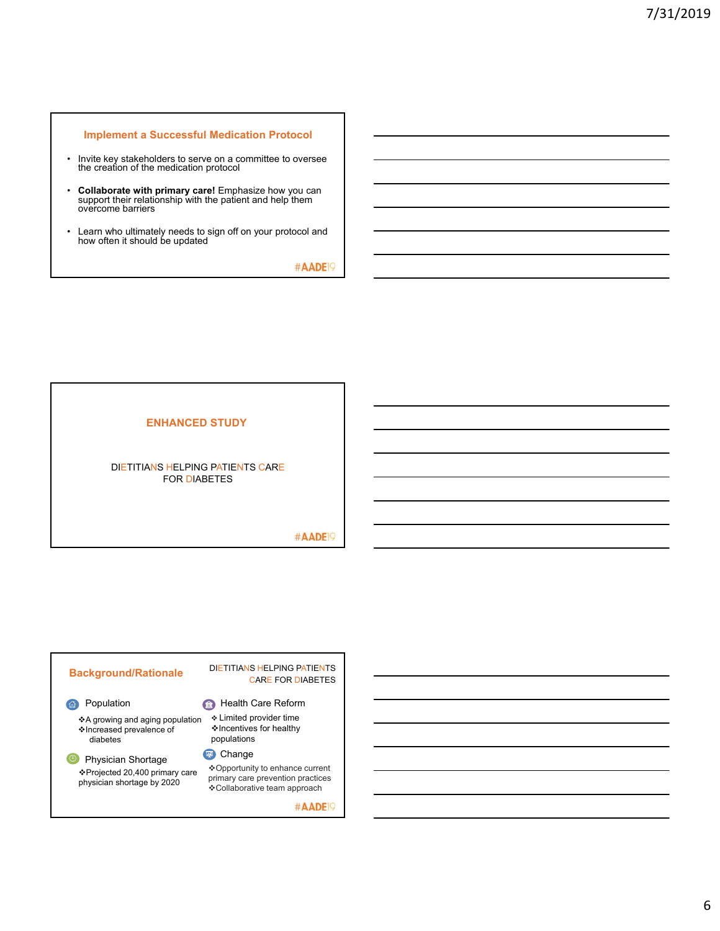### **Implement a Successful Medication Protocol**

- Invite key stakeholders to serve on a committee to oversee the creation of the medication protocol
- **Collaborate with primary care!** Emphasize how you can support their relationship with the patient and help them overcome barriers
- Learn who ultimately needs to sign off on your protocol and how often it should be updated

#AADE<sup>19</sup>

### **ENHANCED STUDY**

### DIETITIANS HELPING PATIENTS CARE FOR DIABETES

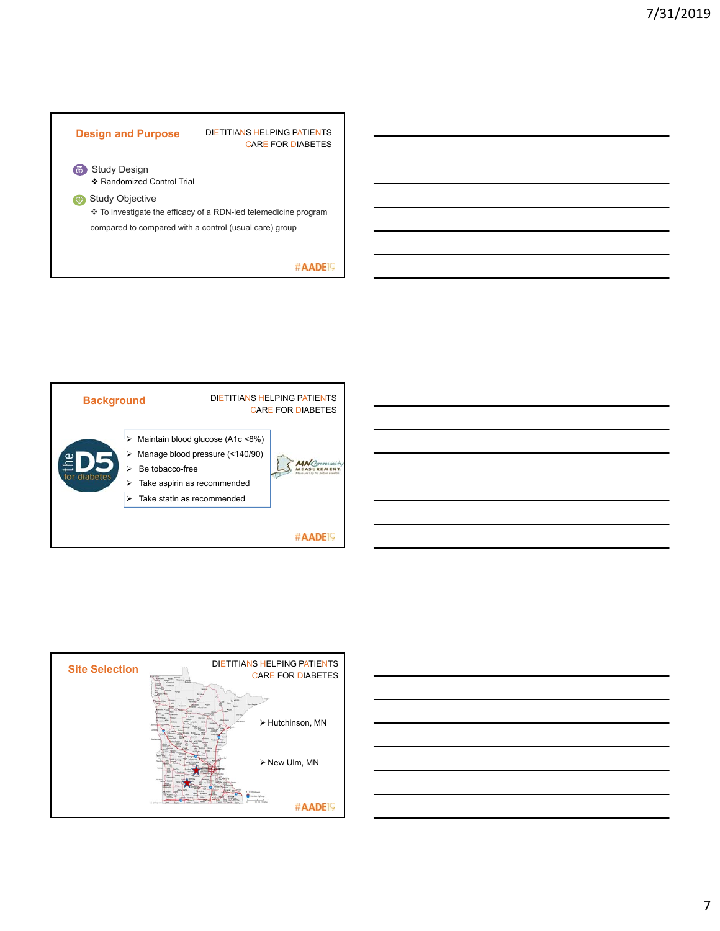





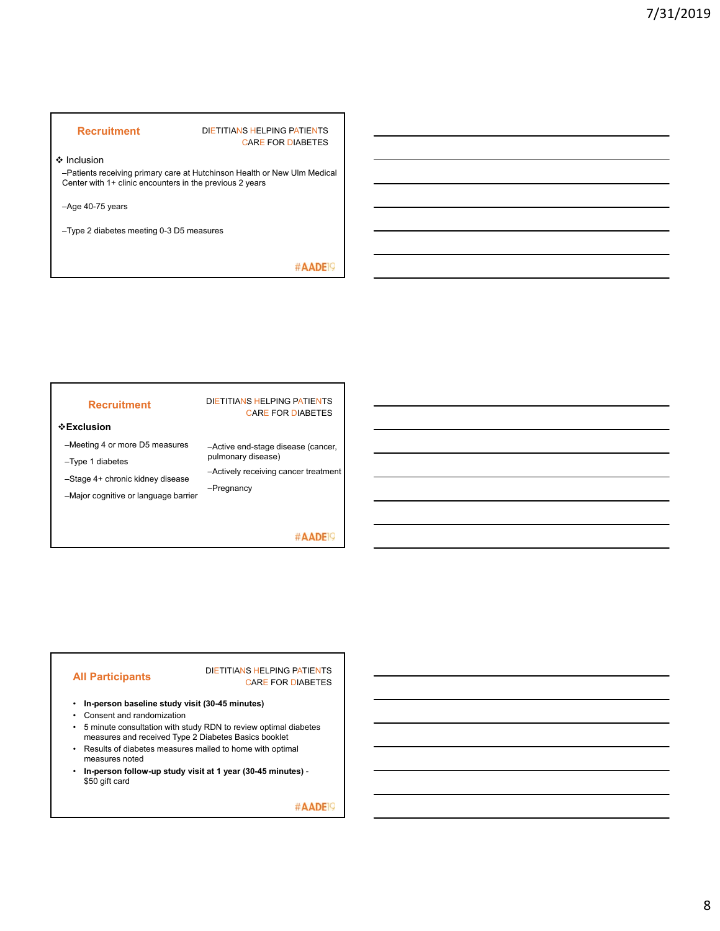### **Recruitment** DIETITIANS HELPING PATIENTS CARE FOR DIABETES

❖ Inclusion

–Patients receiving primary care at Hutchinson Health or New Ulm Medical Center with 1+ clinic encounters in the previous 2 years

–Age 40-75 years

–Type 2 diabetes meeting 0-3 D5 measures

#AADE<sup>19</sup>

### **Recruitment** DIETITIANS HELPING PATIENTS

### **Exclusion**

–Meeting 4 or more D5 measures

–Type 1 diabetes

–Stage 4+ chronic kidney disease

pulmonary disease) –Actively receiving cancer treatment

–Active end-stage disease (cancer,

CARE FOR DIABETES

–Major cognitive or language barrier –Pregnancy

### #AADE<sup>19</sup>

**All Participants** DIETITIANS HELPING PATIENTS CARE FOR DIABETES

- **In-person baseline study visit (30-45 minutes)**
- Consent and randomization
- 5 minute consultation with study RDN to review optimal diabetes measures and received Type 2 Diabetes Basics booklet
- Results of diabetes measures mailed to home with optimal measures noted
- **In-person follow-up study visit at 1 year (30-45 minutes)**  \$50 gift card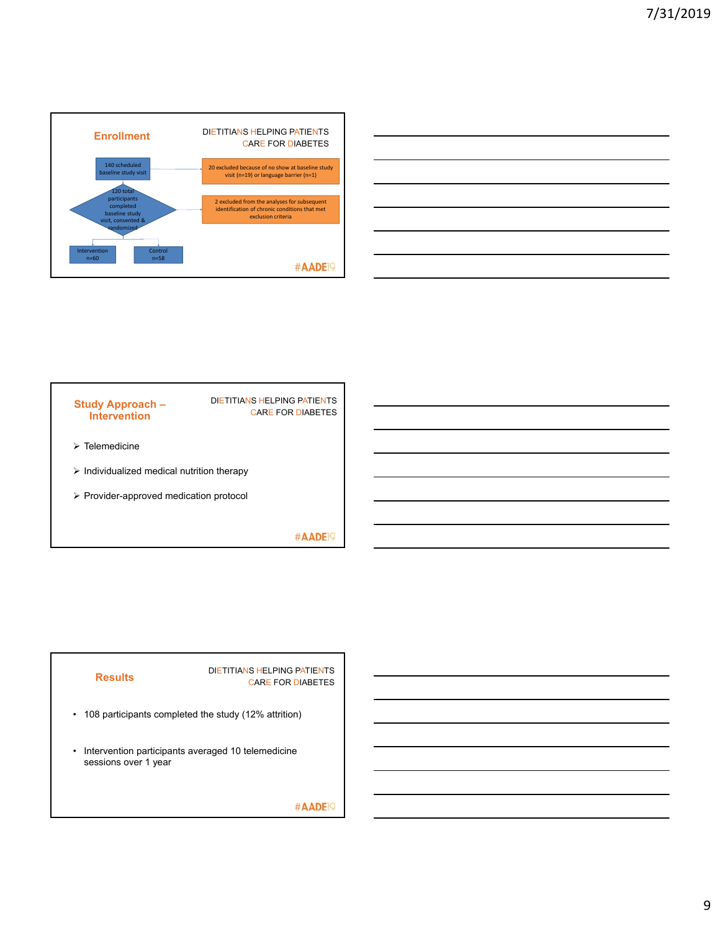





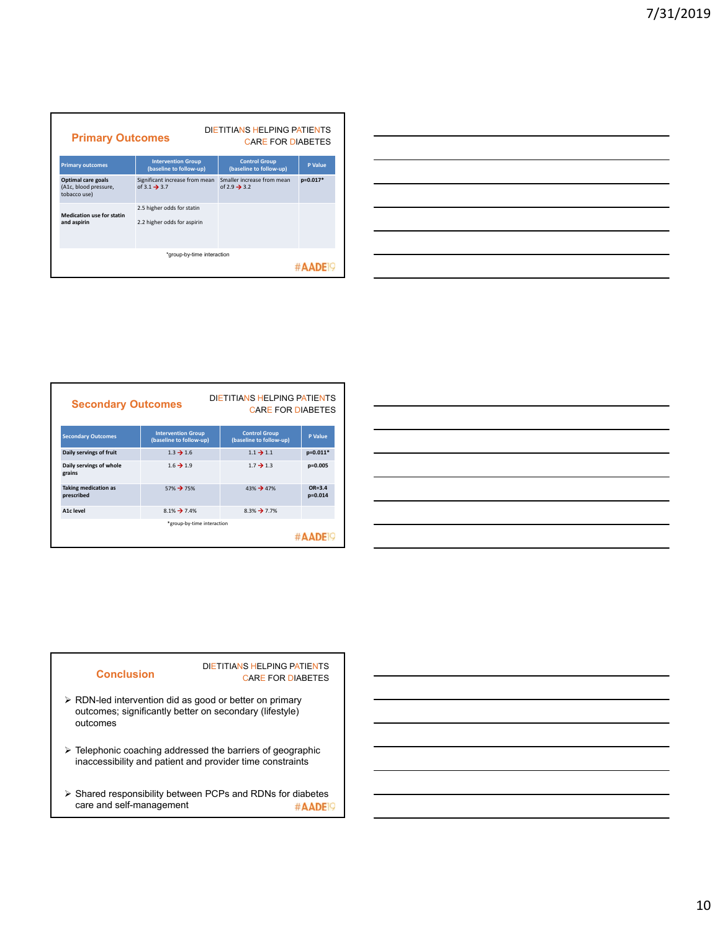| DIETITIANS HELPING PATIENTS<br><b>Primary Outcomes</b><br><b>CARE FOR DIABETES</b> |                                                            |                                                        |          |
|------------------------------------------------------------------------------------|------------------------------------------------------------|--------------------------------------------------------|----------|
| <b>Primary outcomes</b>                                                            | <b>Intervention Group</b><br>(baseline to follow-up)       | <b>Control Group</b><br>(baseline to follow-up)        | P Value  |
| Optimal care goals<br>(A1c, blood pressure,<br>tobacco use)                        | Significant increase from mean<br>of 3.1 $\rightarrow$ 3.7 | Smaller increase from mean<br>of 2.9 $\rightarrow$ 3.2 | p=0.017* |
| <b>Medication use for statin</b><br>and aspirin                                    | 2.5 higher odds for statin<br>2.2 higher odds for aspirin  |                                                        |          |
| *group-by-time interaction<br>#AAD                                                 |                                                            |                                                        |          |



| <b>DIETITIANS HELPING PATIENTS</b><br><b>Secondary Outcomes</b><br><b>CARE FOR DIABETES</b> |                                                      |                                                 |                           |
|---------------------------------------------------------------------------------------------|------------------------------------------------------|-------------------------------------------------|---------------------------|
| <b>Secondary Outcomes</b>                                                                   | <b>Intervention Group</b><br>(baseline to follow-up) | <b>Control Group</b><br>(baseline to follow-up) | <b>P</b> Value            |
| Daily servings of fruit                                                                     | $1.3 \rightarrow 1.6$                                | $1.1 \rightarrow 1.1$                           | $p=0.011*$                |
| Daily servings of whole<br>grains                                                           | $1.6 \rightarrow 1.9$                                | $1.7 \rightarrow 1.3$                           | $p=0.005$                 |
| <b>Taking medication as</b><br>prescribed                                                   | 57% → 75%                                            | $43\% \rightarrow 47\%$                         | $OR = 3.4$<br>$p = 0.014$ |
| A1c level                                                                                   | $8.1\%$ $\rightarrow$ 7.4%                           | $8.3\% \rightarrow 7.7\%$                       |                           |
| *group-by-time interaction                                                                  |                                                      |                                                 |                           |
|                                                                                             |                                                      |                                                 |                           |

| <u> 2000 - John Harry Harry Harry Harry Harry Harry Harry Harry Harry Harry Harry Harry Harry Harry Harry Harry H</u> |  | and the control of the con- |
|-----------------------------------------------------------------------------------------------------------------------|--|-----------------------------|
|                                                                                                                       |  |                             |
|                                                                                                                       |  |                             |
|                                                                                                                       |  |                             |
|                                                                                                                       |  |                             |
|                                                                                                                       |  |                             |
| <u> 1989 - Johann Stoff, deutscher Stoff, der Stoff, der Stoff, der Stoff, der Stoff, der Stoff, der Stoff, der S</u> |  |                             |
|                                                                                                                       |  |                             |

### **Conclusion**

DIETITIANS HELPING PATIENTS CARE FOR DIABETES

- RDN-led intervention did as good or better on primary outcomes; significantly better on secondary (lifestyle) outcomes
- Telephonic coaching addressed the barriers of geographic inaccessibility and patient and provider time constraints
- $\triangleright$  Shared responsibility between PCPs and RDNs for diabetes care and self-management #AADE<sup>19</sup>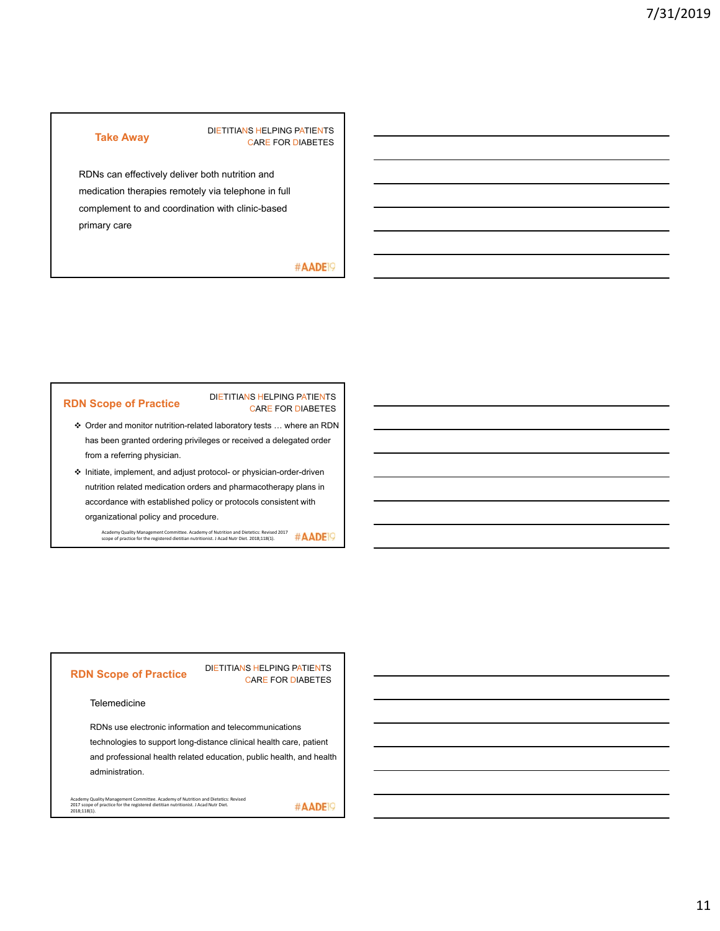### **Take Away DIETITIANS HELPING PATIENTS** CARE FOR DIABETES

RDNs can effectively deliver both nutrition and medication therapies remotely via telephone in full complement to and coordination with clinic-based primary care

### #AADE<sup>19</sup>

#AADE<sup>19</sup>

### **RDN Scope of Practice**

### DIETITIANS HELPING PATIENTS CARE FOR DIABETES

- Order and monitor nutrition-related laboratory tests … where an RDN has been granted ordering privileges or received a delegated order from a referring physician.
- $\div$  Initiate, implement, and adjust protocol- or physician-order-driven nutrition related medication orders and pharmacotherapy plans in accordance with established policy or protocols consistent with organizational policy and procedure.

Academy Quality Management Committee. Academy of Nutrition and Dietetics: Revised 2017 scope of practice for the registered dietitian nutritionist. J Acad Nutr Diet. 2018;118(1).

### **RDN Scope of Practice**

### DIETITIANS HELPING PATIENTS CARE FOR DIABETES

### **Telemedicine**

RDNs use electronic information and telecommunications technologies to support long-distance clinical health care, patient and professional health related education, public health, and health administration.

Academy Quality Management Committee. Academy of Nutrition and Dietetics: Revised 2017 scope of practice for the registered dietitian nutritionist. J Acad Nutr Diet. 2018;118(1).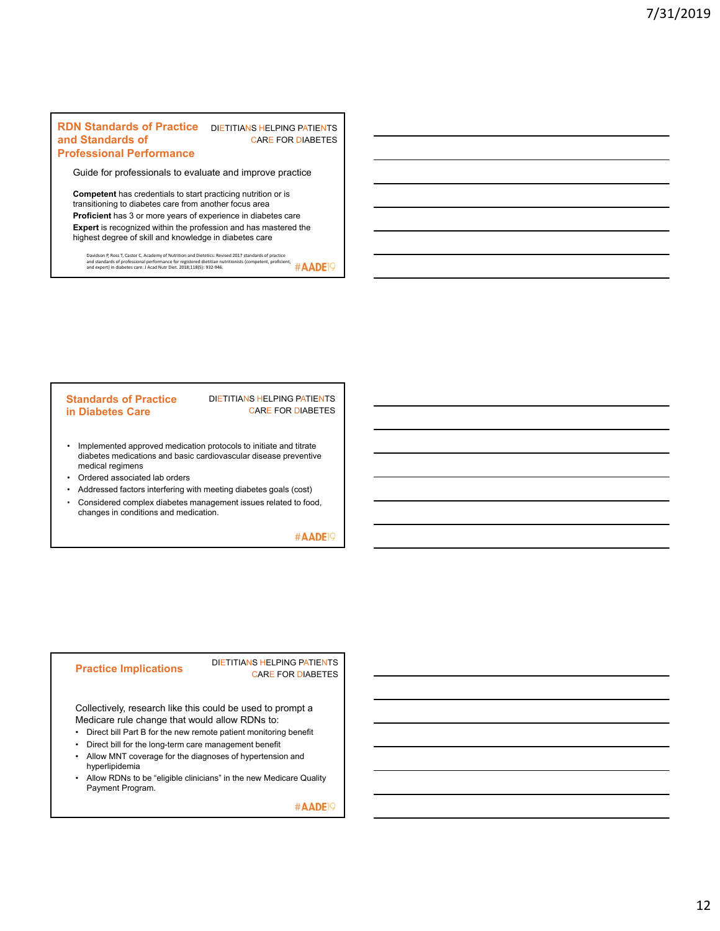### **RDN Standards of Practice** DIETITIANS HELPING PATIENTS **and Standards of Professional Performance**

# CARE FOR DIABETES

# Guide for professionals to evaluate and improve practice

**Competent** has credentials to start practicing nutrition or is transitioning to diabetes care from another focus area **Proficient** has 3 or more years of experience in diabetes care **Expert** is recognized within the profession and has mastered the highest degree of skill and knowledge in diabetes care

Davidson P, Ross T, Castor C. Academy of Nutrition and Dietetics: Revised 2017 standards of practice<br>and standards of professional performance for registered dietitian nutritionists (competent, proficient,<br>and expert) in d

### **Standards of Practice in Diabetes Care**

### DIETITIANS HELPING PATIENTS CARE FOR DIABETES

- Implemented approved medication protocols to initiate and titrate diabetes medications and basic cardiovascular disease preventive medical regimens
- Ordered associated lab orders
- Addressed factors interfering with meeting diabetes goals (cost)
- Considered complex diabetes management issues related to food, changes in conditions and medication.

#AADE<sup>19</sup>

**Practice Implications** DIETITIANS HELPING PATIENTS CARE FOR DIABETES

Collectively, research like this could be used to prompt a Medicare rule change that would allow RDNs to:

- Direct bill Part B for the new remote patient monitoring benefit
- Direct bill for the long-term care management benefit
- Allow MNT coverage for the diagnoses of hypertension and hyperlipidemia
- Allow RDNs to be "eligible clinicians" in the new Medicare Quality Payment Program.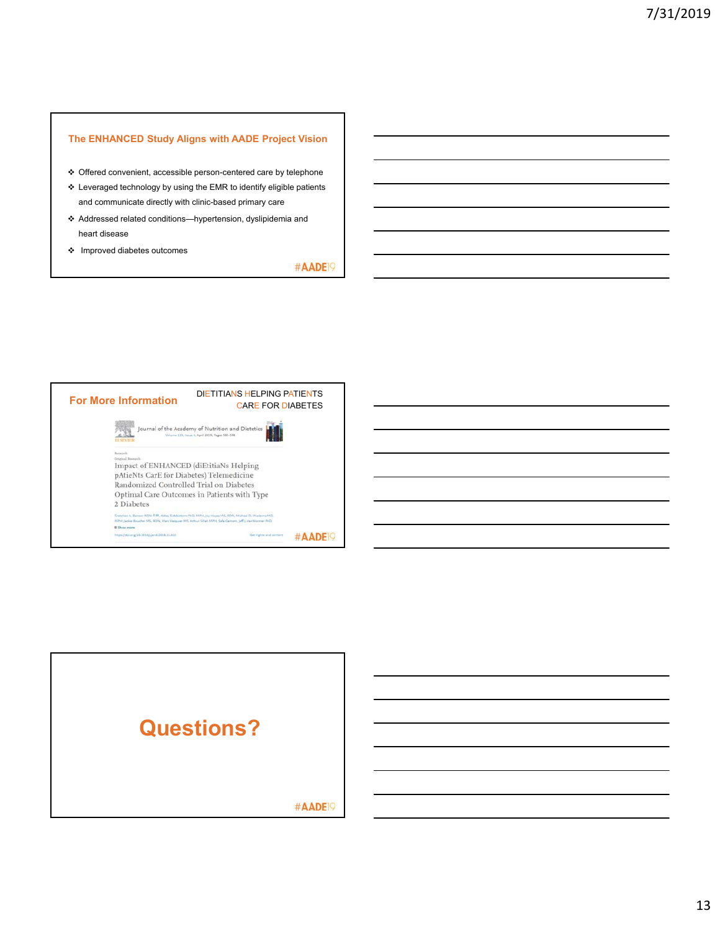### **The ENHANCED Study Aligns with AADE Project Vision**

- Offered convenient, accessible person-centered care by telephone
- $\boldsymbol{\div}$  Leveraged technology by using the EMR to identify eligible patients and communicate directly with clinic-based primary care
- Addressed related conditions—hypertension, dyslipidemia and heart disease
- Improved diabetes outcomes